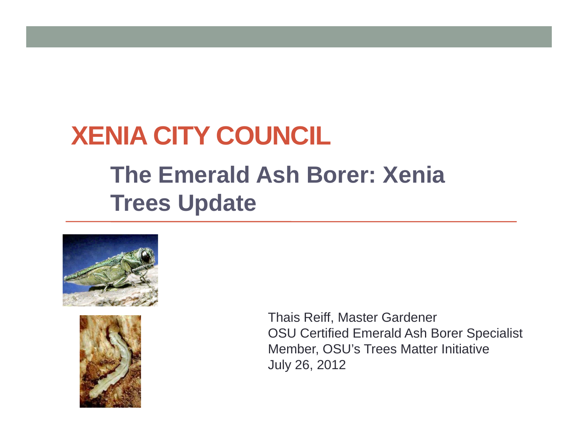# **XENIA CITY COUNCIL**

#### **The Emerald Ash Borer: Xenia Trees Update**





Thais Reiff, Master Gardener OSU Certified Emerald Ash Borer Specialist Member, OSU's Trees Matter Initiative July 26, 2012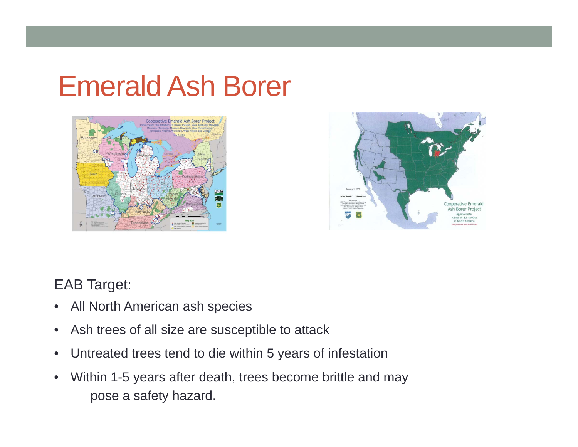# Emerald Ash Borer





#### EAB Target:

- $\bullet$ All North American ash species
- $\bullet$ Ash trees of all size are susceptible to attack
- $\bullet$ Untreated trees tend to die within 5 years of infestation
- $\bullet$  Within 1-5 years after death, trees become brittle and may pose a safety hazard.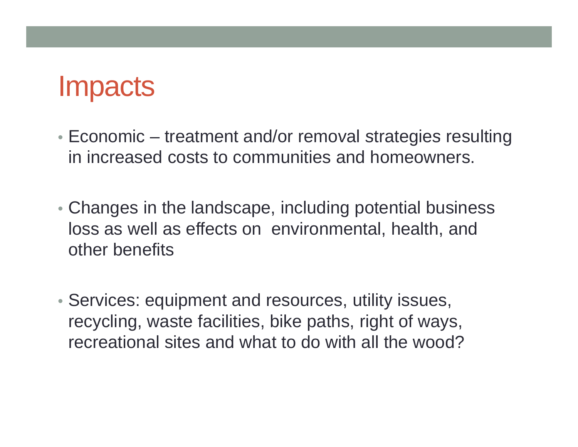### **Impacts**

- $\bullet$  Economic treatment and/or removal strategies resulting in increased costs to communities and homeowners.
- Changes in the landscape, including potential business loss as well as effects on environmental, health, and other benefits
- Services: equipment and resources, utility issues, recycling, waste facilities, bike paths, right of ways, recreational sites and what to do with all the wood?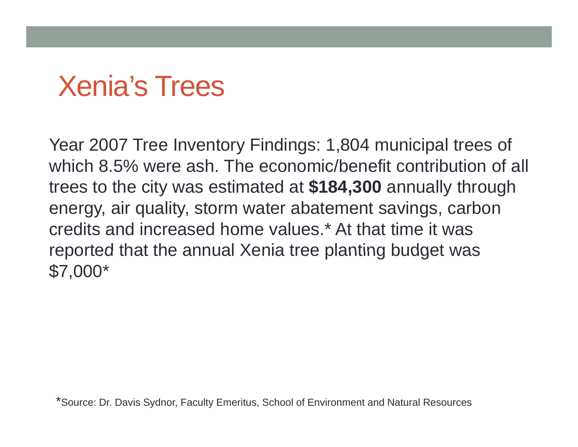# **Xenia's Trees**

Year 2007 Tree Inventory Findings: 1,804 municipal trees of which 8.5% were ash. The economic/benefit contribution of all trees to the city was estimated at **\$184,300** annually through energy, air quality, storm water abatement savings, carbon credits and increased home values.\* At that time it was reported that the annual Xenia tree planting budget was \$7,000\*

\*Source: Dr. Davis Sydnor, Faculty Emeritus, School of Environment and Natural Resources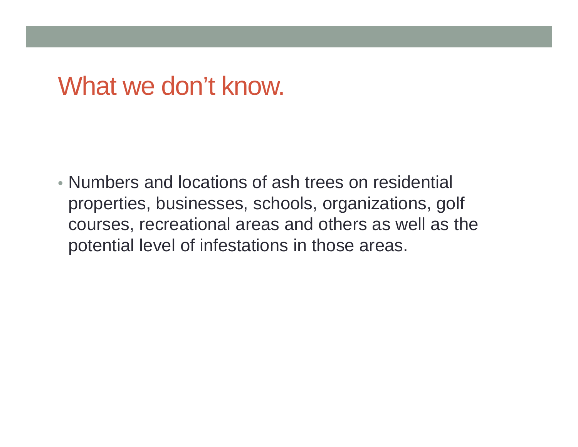#### What we don't know.

• Numbers and locations of ash trees on residential properties, businesses, schools, organizations, golf courses, recreational areas and others as well as the potential level of infestations in those areas.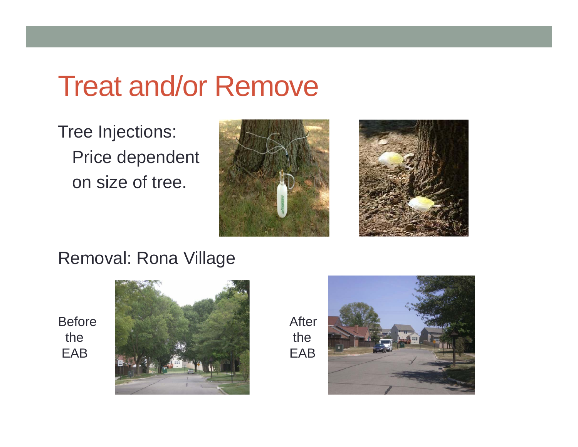## **Treat and/or Remove**

Tree Injections: Price dependent on size of tree.





Removal: Rona Village

Before the EAB



After the EAB